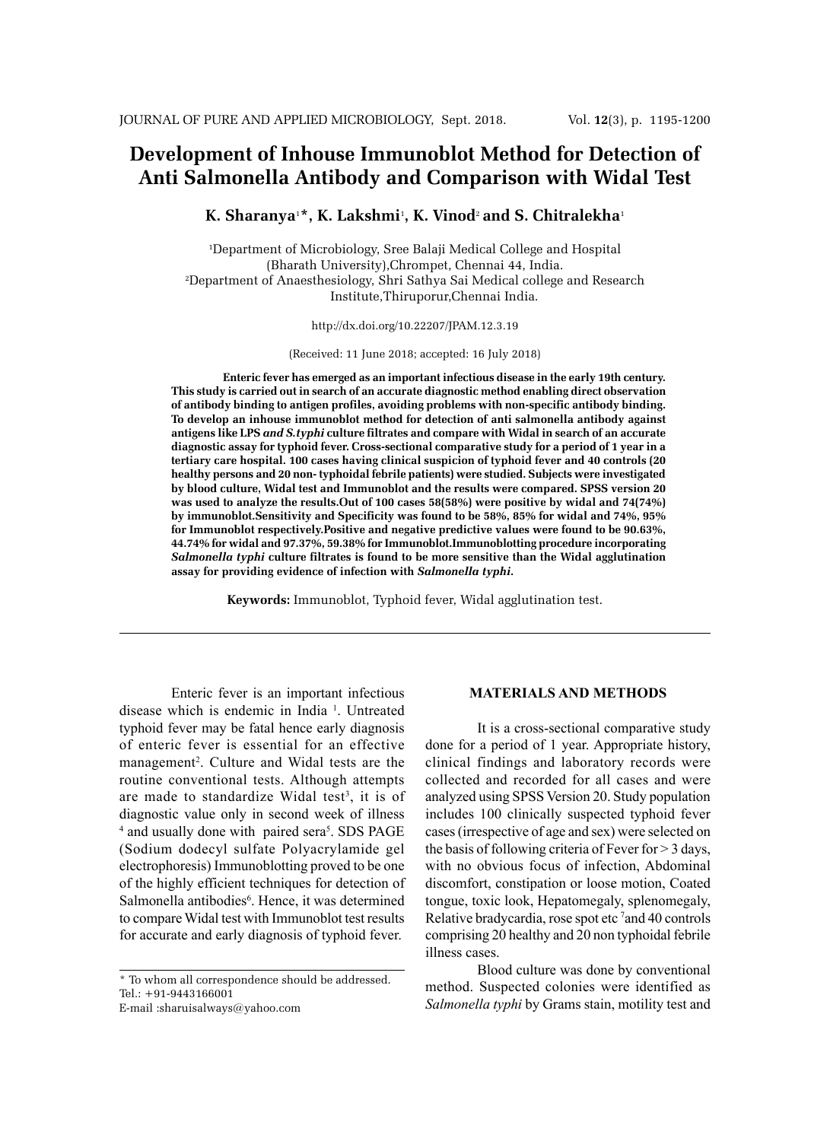# **Development of Inhouse Immunoblot Method for Detection of Anti Salmonella Antibody and Comparison with Widal Test**

# **K. Sharanya**<sup>1</sup> **\*, K. Lakshmi**<sup>1</sup> **, K. Vinod**<sup>2</sup> **and S. Chitralekha**<sup>1</sup>

1 Department of Microbiology, Sree Balaji Medical College and Hospital (Bharath University),Chrompet, Chennai 44, India. 2 Department of Anaesthesiology, Shri Sathya Sai Medical college and Research Institute,Thiruporur,Chennai India.

http://dx.doi.org/10.22207/JPAM.12.3.19

(Received: 11 June 2018; accepted: 16 July 2018)

**Enteric fever has emerged as an important infectious disease in the early 19th century. This study is carried out in search of an accurate diagnostic method enabling direct observation of antibody binding to antigen profiles, avoiding problems with non-specific antibody binding. To develop an inhouse immunoblot method for detection of anti salmonella antibody against antigens like LPS** *and S.typhi* **culture filtrates and compare with Widal in search of an accurate diagnostic assay for typhoid fever. Cross-sectional comparative study for a period of 1 year in a tertiary care hospital. 100 cases having clinical suspicion of typhoid fever and 40 controls (20 healthy persons and 20 non- typhoidal febrile patients) were studied. Subjects were investigated by blood culture, Widal test and Immunoblot and the results were compared. SPSS version 20 was used to analyze the results.Out of 100 cases 58(58%) were positive by widal and 74(74%) by immunoblot.Sensitivity and Specificity was found to be 58%, 85% for widal and 74%, 95% for Immunoblot respectively.Positive and negative predictive values were found to be 90.63%, 44.74% for widal and 97.37%, 59.38% for Immunoblot.Immunoblotting procedure incorporating**  *Salmonella typhi* **culture filtrates is found to be more sensitive than the Widal agglutination assay for providing evidence of infection with** *Salmonella typhi***.** 

**Keywords:** Immunoblot, Typhoid fever, Widal agglutination test.

Enteric fever is an important infectious disease which is endemic in India<sup>1</sup>. Untreated typhoid fever may be fatal hence early diagnosis of enteric fever is essential for an effective management<sup>2</sup>. Culture and Widal tests are the routine conventional tests. Although attempts are made to standardize Widal test<sup>3</sup>, it is of diagnostic value only in second week of illness <sup>4</sup> and usually done with paired sera<sup>5</sup>. SDS PAGE (Sodium dodecyl sulfate Polyacrylamide gel electrophoresis) Immunoblotting proved to be one of the highly efficient techniques for detection of Salmonella antibodies<sup>6</sup>. Hence, it was determined to compare Widal test with Immunoblot test results for accurate and early diagnosis of typhoid fever.

# **MATERIALS AND METHODS**

It is a cross-sectional comparative study done for a period of 1 year. Appropriate history, clinical findings and laboratory records were collected and recorded for all cases and were analyzed using SPSS Version 20. Study population includes 100 clinically suspected typhoid fever cases (irrespective of age and sex) were selected on the basis of following criteria of Fever for > 3 days, with no obvious focus of infection, Abdominal discomfort, constipation or loose motion, Coated tongue, toxic look, Hepatomegaly, splenomegaly, Relative bradycardia, rose spot etc<sup>7</sup> and 40 controls comprising 20 healthy and 20 non typhoidal febrile illness cases.

Blood culture was done by conventional method. Suspected colonies were identified as *Salmonella typhi* by Grams stain, motility test and

<sup>\*</sup> To whom all correspondence should be addressed.

Tel.: +91-9443166001

E-mail :sharuisalways@yahoo.com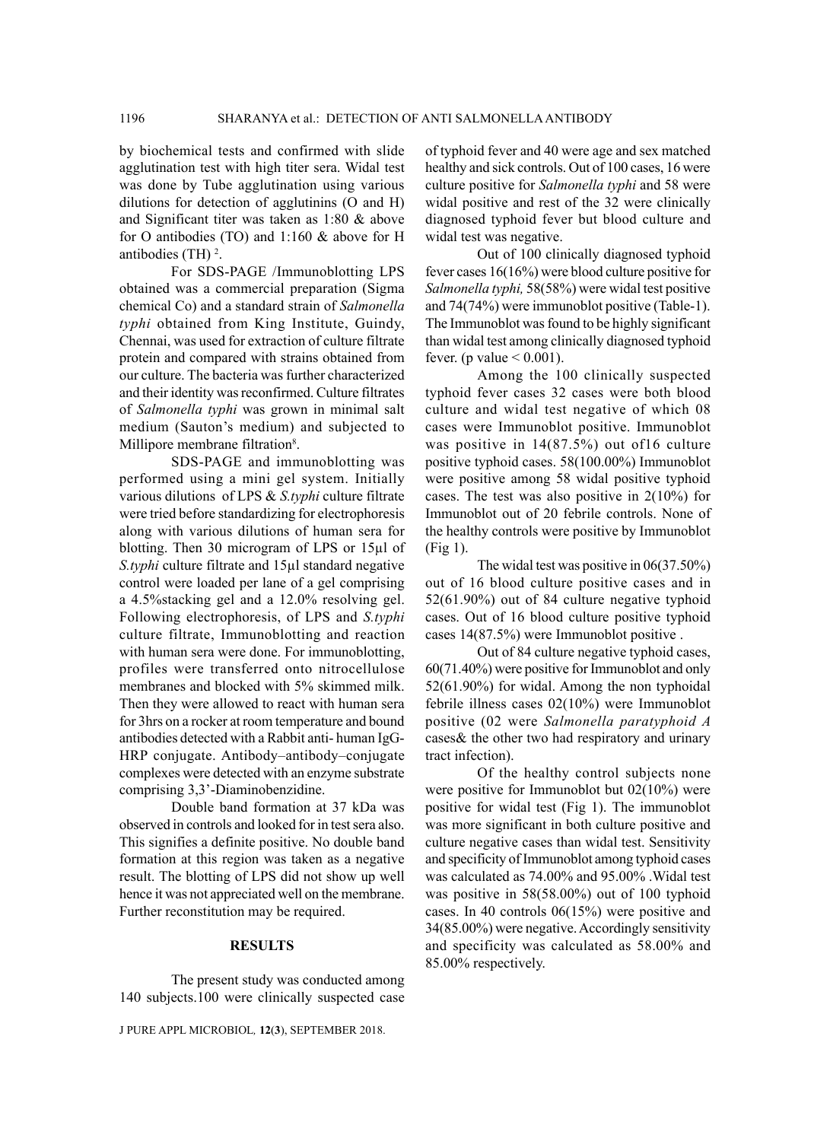by biochemical tests and confirmed with slide agglutination test with high titer sera. Widal test was done by Tube agglutination using various dilutions for detection of agglutinins (O and H) and Significant titer was taken as 1:80 & above for O antibodies (TO) and 1:160 & above for H antibodies (TH) $^2$ .

For SDS-PAGE /Immunoblotting LPS obtained was a commercial preparation (Sigma chemical Co) and a standard strain of *Salmonella typhi* obtained from King Institute, Guindy, Chennai, was used for extraction of culture filtrate protein and compared with strains obtained from our culture. The bacteria was further characterized and their identity was reconfirmed. Culture filtrates of *Salmonella typhi* was grown in minimal salt medium (Sauton's medium) and subjected to Millipore membrane filtration<sup>8</sup>.

SDS-PAGE and immunoblotting was performed using a mini gel system. Initially various dilutions of LPS & *S.typhi* culture filtrate were tried before standardizing for electrophoresis along with various dilutions of human sera for blotting. Then 30 microgram of LPS or 15µl of *S.typhi* culture filtrate and 15µl standard negative control were loaded per lane of a gel comprising a 4.5%stacking gel and a 12.0% resolving gel. Following electrophoresis, of LPS and *S.typhi*  culture filtrate, Immunoblotting and reaction with human sera were done. For immunoblotting, profiles were transferred onto nitrocellulose membranes and blocked with 5% skimmed milk. Then they were allowed to react with human sera for 3hrs on a rocker at room temperature and bound antibodies detected with a Rabbit anti- human IgG-HRP conjugate. Antibody–antibody–conjugate complexes were detected with an enzyme substrate comprising 3,3'-Diaminobenzidine.

Double band formation at 37 kDa was observed in controls and looked for in test sera also. This signifies a definite positive. No double band formation at this region was taken as a negative result. The blotting of LPS did not show up well hence it was not appreciated well on the membrane. Further reconstitution may be required.

#### **RESULTS**

The present study was conducted among 140 subjects.100 were clinically suspected case

J PURE APPL MICROBIOL*,* **12**(**3**), SEPTEMBER 2018.

of typhoid fever and 40 were age and sex matched healthy and sick controls. Out of 100 cases, 16 were culture positive for *Salmonella typhi* and 58 were widal positive and rest of the 32 were clinically diagnosed typhoid fever but blood culture and widal test was negative.

Out of 100 clinically diagnosed typhoid fever cases 16(16%) were blood culture positive for *Salmonella typhi,* 58(58%) were widal test positive and 74(74%) were immunoblot positive (Table-1). The Immunoblot was found to be highly significant than widal test among clinically diagnosed typhoid fever. (p value  $< 0.001$ ).

Among the 100 clinically suspected typhoid fever cases 32 cases were both blood culture and widal test negative of which 08 cases were Immunoblot positive. Immunoblot was positive in 14(87.5%) out of16 culture positive typhoid cases. 58(100.00%) Immunoblot were positive among 58 widal positive typhoid cases. The test was also positive in 2(10%) for Immunoblot out of 20 febrile controls. None of the healthy controls were positive by Immunoblot (Fig 1).

The widal test was positive in 06(37.50%) out of 16 blood culture positive cases and in 52(61.90%) out of 84 culture negative typhoid cases. Out of 16 blood culture positive typhoid cases 14(87.5%) were Immunoblot positive .

Out of 84 culture negative typhoid cases, 60(71.40%) were positive for Immunoblot and only 52(61.90%) for widal. Among the non typhoidal febrile illness cases 02(10%) were Immunoblot positive (02 were *Salmonella paratyphoid A*  cases& the other two had respiratory and urinary tract infection).

Of the healthy control subjects none were positive for Immunoblot but 02(10%) were positive for widal test (Fig 1). The immunoblot was more significant in both culture positive and culture negative cases than widal test. Sensitivity and specificity of Immunoblot among typhoid cases was calculated as 74.00% and 95.00% .Widal test was positive in 58(58.00%) out of 100 typhoid cases. In 40 controls 06(15%) were positive and 34(85.00%) were negative. Accordingly sensitivity and specificity was calculated as 58.00% and 85.00% respectively.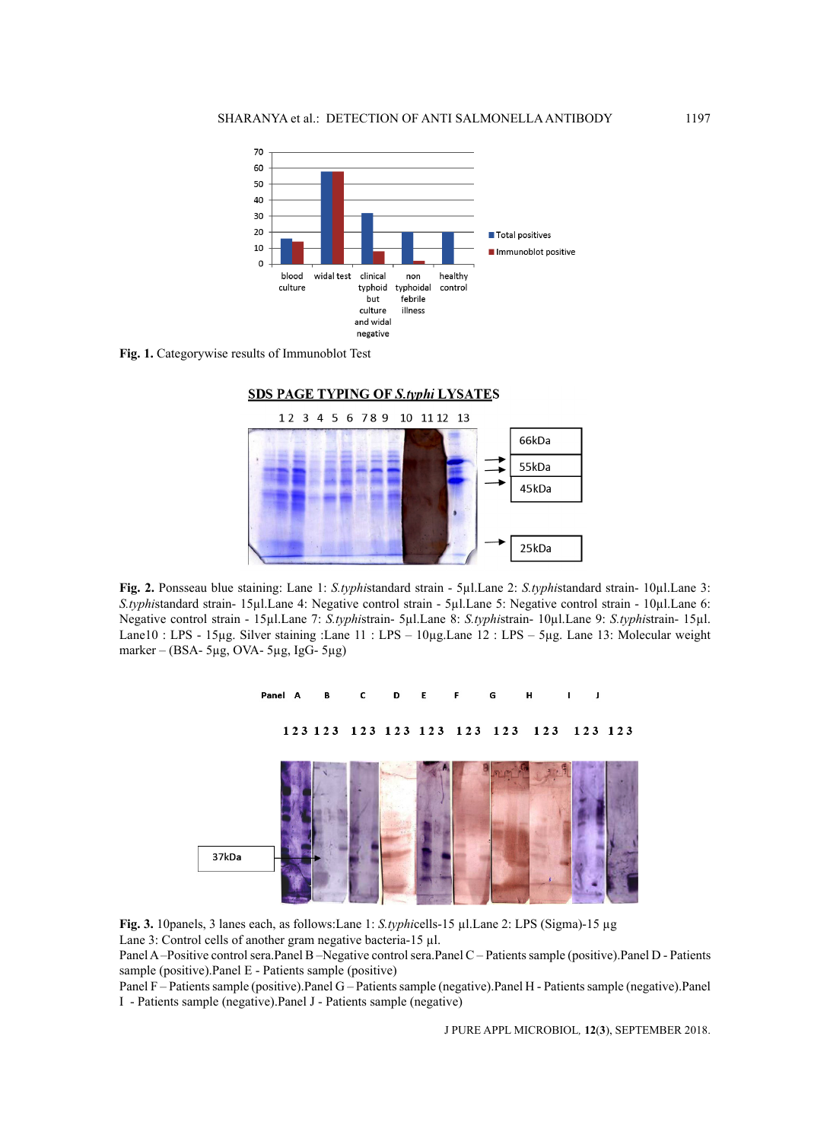

**Fig. 1.** Categorywise results of Immunoblot Test



**Fig. 2.** Ponsseau blue staining: Lane 1: *S.typhi*standard strain - 5µl.Lane 2: *S.typhi*standard strain- 10µl.Lane 3: *S.typhi*standard strain- 15µl.Lane 4: Negative control strain - 5µl.Lane 5: Negative control strain - 10µl.Lane 6: Negative control strain - 15µl.Lane 7: *S.typhi*strain- 5µl.Lane 8: *S.typhi*strain- 10µl.Lane 9: *S.typhi*strain- 15µl. Lane10 : LPS - 15µg. Silver staining :Lane 11 : LPS – 10µg.Lane 12 : LPS – 5µg. Lane 13: Molecular weight marker – (BSA- 5µg, OVA- 5µg, IgG- 5µg)





Panel A –Positive control sera.Panel B –Negative control sera.Panel C – Patients sample (positive).Panel D - Patients sample (positive).Panel E - Patients sample (positive)

Panel F – Patients sample (positive).Panel G – Patients sample (negative).Panel H - Patients sample (negative).Panel I - Patients sample (negative).Panel J - Patients sample (negative)

J PURE APPL MICROBIOL*,* **12**(**3**), SEPTEMBER 2018.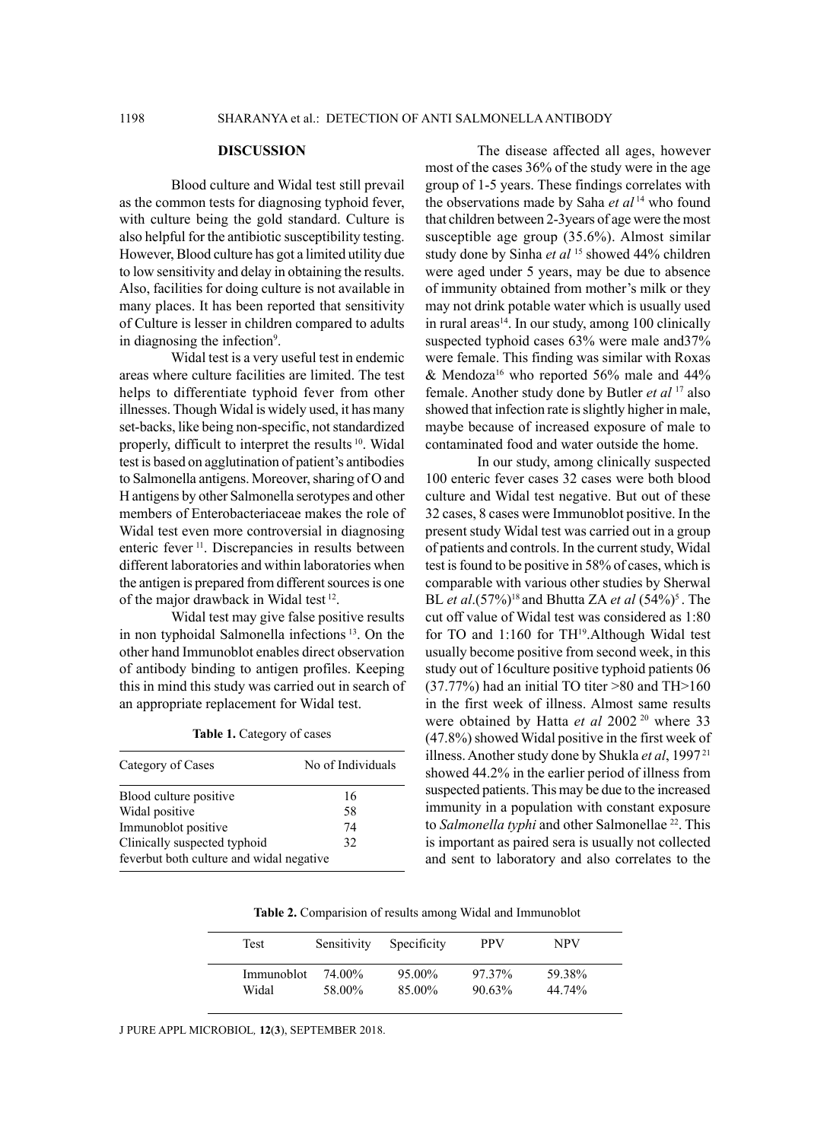## **DISCUSSION**

Blood culture and Widal test still prevail as the common tests for diagnosing typhoid fever, with culture being the gold standard. Culture is also helpful for the antibiotic susceptibility testing. However, Blood culture has got a limited utility due to low sensitivity and delay in obtaining the results. Also, facilities for doing culture is not available in many places. It has been reported that sensitivity of Culture is lesser in children compared to adults in diagnosing the infection<sup>9</sup>.

Widal test is a very useful test in endemic areas where culture facilities are limited. The test helps to differentiate typhoid fever from other illnesses. Though Widal is widely used, it has many set-backs, like being non-specific, not standardized properly, difficult to interpret the results <sup>10</sup>. Widal test is based on agglutination of patient's antibodies to Salmonella antigens. Moreover, sharing of O and H antigens by other Salmonella serotypes and other members of Enterobacteriaceae makes the role of Widal test even more controversial in diagnosing enteric fever 11. Discrepancies in results between different laboratories and within laboratories when the antigen is prepared from different sources is one of the major drawback in Widal test 12.

Widal test may give false positive results in non typhoidal Salmonella infections 13. On the other hand Immunoblot enables direct observation of antibody binding to antigen profiles. Keeping this in mind this study was carried out in search of an appropriate replacement for Widal test.

**Table 1.** Category of cases

| Category of Cases                        | No of Individuals |  |  |
|------------------------------------------|-------------------|--|--|
| Blood culture positive                   | 16                |  |  |
| Widal positive                           | 58                |  |  |
| Immunoblot positive                      | 74                |  |  |
| Clinically suspected typhoid<br>32       |                   |  |  |
| feverbut both culture and widal negative |                   |  |  |

The disease affected all ages, however most of the cases 36% of the study were in the age group of 1-5 years. These findings correlates with the observations made by Saha *et al* 14 who found that children between 2-3years of age were the most susceptible age group (35.6%). Almost similar study done by Sinha et al<sup>15</sup> showed 44% children were aged under 5 years, may be due to absence of immunity obtained from mother's milk or they may not drink potable water which is usually used in rural areas $14$ . In our study, among 100 clinically suspected typhoid cases 63% were male and37% were female. This finding was similar with Roxas  $&$  Mendoza<sup>16</sup> who reported 56% male and 44% female. Another study done by Butler *et al* 17 also showed that infection rate is slightly higher in male, maybe because of increased exposure of male to contaminated food and water outside the home.

In our study, among clinically suspected 100 enteric fever cases 32 cases were both blood culture and Widal test negative. But out of these 32 cases, 8 cases were Immunoblot positive. In the present study Widal test was carried out in a group of patients and controls. In the current study, Widal test is found to be positive in 58% of cases, which is comparable with various other studies by Sherwal BL *et al*.(57%)<sup>18</sup> and Bhutta ZA *et al* (54%)<sup>5</sup>. The cut off value of Widal test was considered as 1:80 for TO and 1:160 for TH<sup>19</sup>.Although Widal test usually become positive from second week, in this study out of 16culture positive typhoid patients 06 (37.77%) had an initial TO titer >80 and TH>160 in the first week of illness. Almost same results were obtained by Hatta et al 2002<sup>20</sup> where 33 (47.8%) showed Widal positive in the first week of illness. Another study done by Shukla *et al*, 1997 21 showed 44.2% in the earlier period of illness from suspected patients. This may be due to the increased immunity in a population with constant exposure to *Salmonella typhi* and other Salmonellae<sup>22</sup>. This is important as paired sera is usually not collected and sent to laboratory and also correlates to the

**Table 2.** Comparision of results among Widal and Immunoblot

| Test       | Sensitivity | Specificity | <b>PPV</b> | <b>NPV</b> |  |
|------------|-------------|-------------|------------|------------|--|
| Immunoblot | 74 00%      | $95.00\%$   | 97.37%     | 59.38%     |  |
| Widal      | 58.00%      | 85.00%      | $90.63\%$  | 44.74%     |  |

J PURE APPL MICROBIOL*,* **12**(**3**), SEPTEMBER 2018.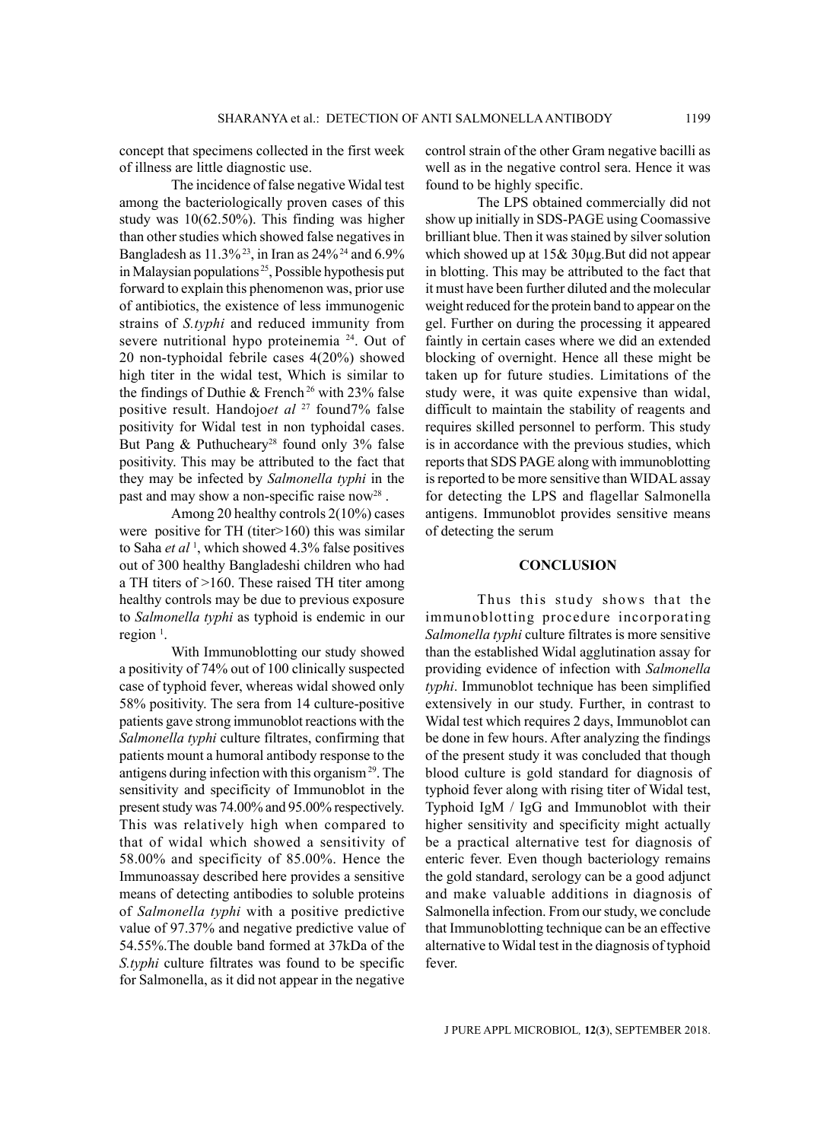concept that specimens collected in the first week of illness are little diagnostic use.

The incidence of false negative Widal test among the bacteriologically proven cases of this study was 10(62.50%). This finding was higher than other studies which showed false negatives in Bangladesh as 11.3% 23, in Iran as 24% 24 and 6.9% in Malaysian populations<sup>25</sup>, Possible hypothesis put forward to explain this phenomenon was, prior use of antibiotics, the existence of less immunogenic strains of *S.typhi* and reduced immunity from severe nutritional hypo proteinemia 24. Out of 20 non-typhoidal febrile cases 4(20%) showed high titer in the widal test, Which is similar to the findings of Duthie & French<sup>26</sup> with 23% false positive result. Handojo*et al* 27 found7% false positivity for Widal test in non typhoidal cases. But Pang  $&$  Puthucheary<sup>28</sup> found only 3% false positivity. This may be attributed to the fact that they may be infected by *Salmonella typhi* in the past and may show a non-specific raise now<sup>28</sup>.

Among 20 healthy controls 2(10%) cases were positive for TH (titer>160) this was similar to Saha *et al* <sup>1</sup> , which showed 4.3% false positives out of 300 healthy Bangladeshi children who had a TH titers of >160. These raised TH titer among healthy controls may be due to previous exposure to *Salmonella typhi* as typhoid is endemic in our region $<sup>1</sup>$ .</sup>

With Immunoblotting our study showed a positivity of 74% out of 100 clinically suspected case of typhoid fever, whereas widal showed only 58% positivity. The sera from 14 culture-positive patients gave strong immunoblot reactions with the *Salmonella typhi* culture filtrates, confirming that patients mount a humoral antibody response to the antigens during infection with this organism 29. The sensitivity and specificity of Immunoblot in the present study was 74.00% and 95.00% respectively. This was relatively high when compared to that of widal which showed a sensitivity of 58.00% and specificity of 85.00%. Hence the Immunoassay described here provides a sensitive means of detecting antibodies to soluble proteins of *Salmonella typhi* with a positive predictive value of 97.37% and negative predictive value of 54.55%.The double band formed at 37kDa of the *S.typhi* culture filtrates was found to be specific for Salmonella, as it did not appear in the negative control strain of the other Gram negative bacilli as well as in the negative control sera. Hence it was found to be highly specific.

The LPS obtained commercially did not show up initially in SDS-PAGE using Coomassive brilliant blue. Then it was stained by silver solution which showed up at  $15& 30\mu$ g. But did not appear in blotting. This may be attributed to the fact that it must have been further diluted and the molecular weight reduced for the protein band to appear on the gel. Further on during the processing it appeared faintly in certain cases where we did an extended blocking of overnight. Hence all these might be taken up for future studies. Limitations of the study were, it was quite expensive than widal, difficult to maintain the stability of reagents and requires skilled personnel to perform. This study is in accordance with the previous studies, which reports that SDS PAGE along with immunoblotting is reported to be more sensitive than WIDAL assay for detecting the LPS and flagellar Salmonella antigens. Immunoblot provides sensitive means of detecting the serum

### **CONCLUSION**

Thus this study shows that the immunoblotting procedure incorporating *Salmonella typhi* culture filtrates is more sensitive than the established Widal agglutination assay for providing evidence of infection with *Salmonella typhi*. Immunoblot technique has been simplified extensively in our study. Further, in contrast to Widal test which requires 2 days, Immunoblot can be done in few hours. After analyzing the findings of the present study it was concluded that though blood culture is gold standard for diagnosis of typhoid fever along with rising titer of Widal test, Typhoid IgM / IgG and Immunoblot with their higher sensitivity and specificity might actually be a practical alternative test for diagnosis of enteric fever. Even though bacteriology remains the gold standard, serology can be a good adjunct and make valuable additions in diagnosis of Salmonella infection. From our study, we conclude that Immunoblotting technique can be an effective alternative to Widal test in the diagnosis of typhoid fever.